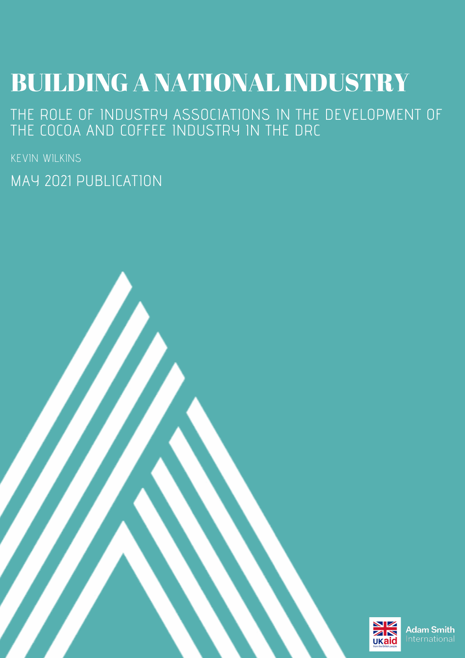# **BUILDING A NATIONAL INDUSTRY**

THE ROLE OF INDUSTRY ASSOCIATIONS IN THE DEVELOPMENT OF THE COCOA AND COFFEE INDUSTRY IN THE DRC

KEVIN WILKINS

MAY 2021 PUBLICATION

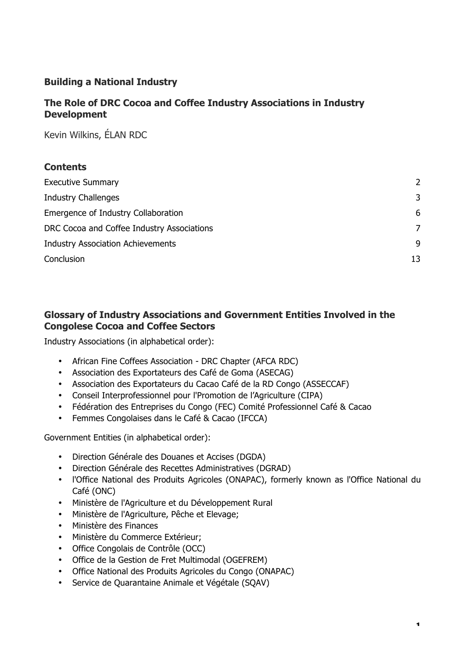# **Building a National Industry**

# **The Role of DRC Cocoa and Coffee Industry Associations in Industry Development**

Kevin Wilkins, ÉLAN RDC

## **Contents**

| <b>Executive Summary</b>                   | $\mathcal{P}$ |
|--------------------------------------------|---------------|
| <b>Industry Challenges</b>                 | 3             |
| Emergence of Industry Collaboration        | 6             |
| DRC Cocoa and Coffee Industry Associations | 7             |
| <b>Industry Association Achievements</b>   |               |
| Conclusion                                 | 13            |

# **Glossary of Industry Associations and Government Entities Involved in the Congolese Cocoa and Coffee Sectors**

Industry Associations (in alphabetical order):

- African Fine Coffees Association DRC Chapter (AFCA RDC)
- Association des Exportateurs des Café de Goma (ASECAG)
- Association des Exportateurs du Cacao Café de la RD Congo (ASSECCAF)
- Conseil Interprofessionnel pour l'Promotion de l'Agriculture (CIPA)
- Fédération des Entreprises du Congo (FEC) Comité Professionnel Café & Cacao
- Femmes Congolaises dans le Café & Cacao (IFCCA)

Government Entities (in alphabetical order):

- Direction Générale des Douanes et Accises (DGDA)
- Direction Générale des Recettes Administratives (DGRAD)
- l'Office National des Produits Agricoles (ONAPAC), formerly known as l'Office National du Café (ONC)
- Ministère de l'Agriculture et du Développement Rural
- Ministère de l'Agriculture, Pêche et Elevage;
- Ministère des Finances
- Ministère du Commerce Extérieur;
- Office Congolais de Contrôle (OCC)
- Office de la Gestion de Fret Multimodal (OGEFREM)
- Office National des Produits Agricoles du Congo (ONAPAC)
- Service de Quarantaine Animale et Végétale (SQAV)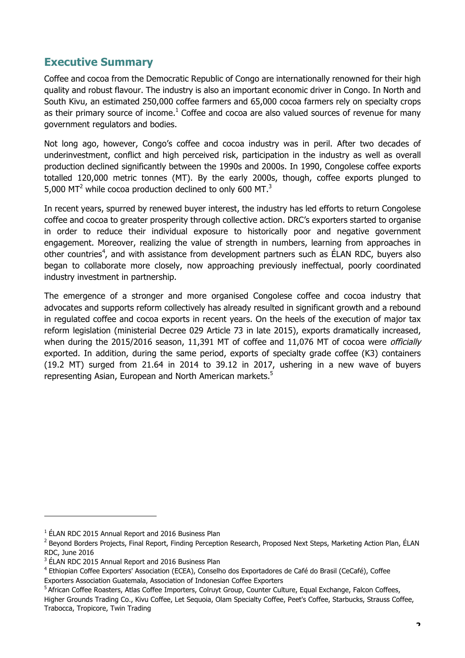# **Executive Summary**

Coffee and cocoa from the Democratic Republic of Congo are internationally renowned for their high quality and robust flavour. The industry is also an important economic driver in Congo. In North and South Kivu, an estimated 250,000 coffee farmers and 65,000 cocoa farmers rely on specialty crops as their primary source of income.<sup>1</sup> Coffee and cocoa are also valued sources of revenue for many government regulators and bodies.

Not long ago, however, Congo's coffee and cocoa industry was in peril. After two decades of underinvestment, conflict and high perceived risk, participation in the industry as well as overall production declined significantly between the 1990s and 2000s. In 1990, Congolese coffee exports totalled 120,000 metric tonnes (MT). By the early 2000s, though, coffee exports plunged to 5,000 MT<sup>2</sup> while cocoa production declined to only 600 MT.<sup>3</sup>

In recent years, spurred by renewed buyer interest, the industry has led efforts to return Congolese coffee and cocoa to greater prosperity through collective action. DRC's exporters started to organise in order to reduce their individual exposure to historically poor and negative government engagement. Moreover, realizing the value of strength in numbers, learning from approaches in other countries<sup>4</sup>, and with assistance from development partners such as ÉLAN RDC, buyers also began to collaborate more closely, now approaching previously ineffectual, poorly coordinated industry investment in partnership.

The emergence of a stronger and more organised Congolese coffee and cocoa industry that advocates and supports reform collectively has already resulted in significant growth and a rebound in regulated coffee and cocoa exports in recent years. On the heels of the execution of major tax reform legislation (ministerial Decree 029 Article 73 in late 2015), exports dramatically increased, when during the 2015/2016 season, 11,391 MT of coffee and 11,076 MT of cocoa were *officially* exported. In addition, during the same period, exports of specialty grade coffee (K3) containers (19.2 MT) surged from 21.64 in 2014 to 39.12 in 2017, ushering in a new wave of buyers representing Asian, European and North American markets.<sup>5</sup>

 $1$  ÉLAN RDC 2015 Annual Report and 2016 Business Plan

<sup>&</sup>lt;sup>2</sup> Beyond Borders Projects, Final Report, Finding Perception Research, Proposed Next Steps, Marketing Action Plan, ÉLAN RDC, June 2016

 $3$  ÉLAN RDC 2015 Annual Report and 2016 Business Plan

<sup>4</sup> Ethiopian Coffee Exporters' Association (ECEA), Conselho dos Exportadores de Café do Brasil (CeCafé), Coffee Exporters Association Guatemala, Association of Indonesian Coffee Exporters

<sup>&</sup>lt;sup>5</sup> African Coffee Roasters, Atlas Coffee Importers, Colruyt Group, Counter Culture, Equal Exchange, Falcon Coffees, Higher Grounds Trading Co., Kivu Coffee, Let Sequoia, Olam Specialty Coffee, Peet's Coffee, Starbucks, Strauss Coffee, Trabocca, Tropicore, Twin Trading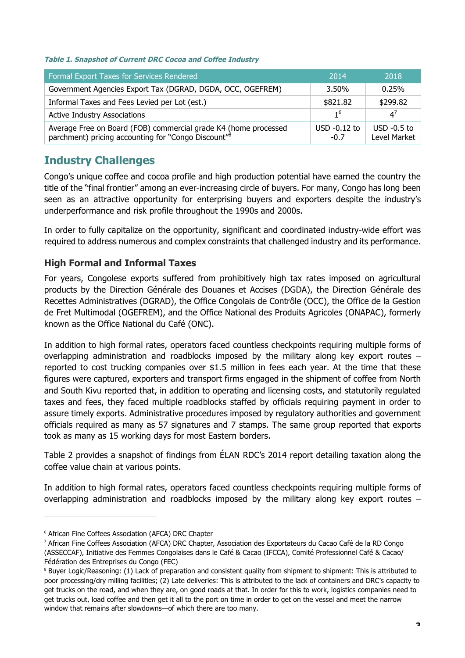#### **Table 1. Snapshot of Current DRC Cocoa and Coffee Industry**

| <b>Formal Export Taxes for Services Rendered</b>                                                                                   | 2014                     | 2018                          |
|------------------------------------------------------------------------------------------------------------------------------------|--------------------------|-------------------------------|
| Government Agencies Export Tax (DGRAD, DGDA, OCC, OGEFREM)                                                                         | 3.50%                    | 0.25%                         |
| Informal Taxes and Fees Levied per Lot (est.)                                                                                      | \$821.82                 | \$299.82                      |
| <b>Active Industry Associations</b>                                                                                                | 1 <sup>6</sup>           | $\Delta^7$                    |
| Average Free on Board (FOB) commercial grade K4 (home processed<br>parchment) pricing accounting for "Congo Discount" <sup>8</sup> | $USD -0.12$ to<br>$-0.7$ | $USD -0.5$ to<br>Level Market |

# **Industry Challenges**

Congo's unique coffee and cocoa profile and high production potential have earned the country the title of the "final frontier" among an ever-increasing circle of buyers. For many, Congo has long been seen as an attractive opportunity for enterprising buyers and exporters despite the industry's underperformance and risk profile throughout the 1990s and 2000s.

In order to fully capitalize on the opportunity, significant and coordinated industry-wide effort was required to address numerous and complex constraints that challenged industry and its performance.

## **High Formal and Informal Taxes**

For years, Congolese exports suffered from prohibitively high tax rates imposed on agricultural products by the Direction Générale des Douanes et Accises (DGDA), the Direction Générale des Recettes Administratives (DGRAD), the Office Congolais de Contrôle (OCC), the Office de la Gestion de Fret Multimodal (OGEFREM), and the Office National des Produits Agricoles (ONAPAC), formerly known as the Office National du Café (ONC).

In addition to high formal rates, operators faced countless checkpoints requiring multiple forms of overlapping administration and roadblocks imposed by the military along key export routes – reported to cost trucking companies over \$1.5 million in fees each year. At the time that these figures were captured, exporters and transport firms engaged in the shipment of coffee from North and South Kivu reported that, in addition to operating and licensing costs, and statutorily regulated taxes and fees, they faced multiple roadblocks staffed by officials requiring payment in order to assure timely exports. Administrative procedures imposed by regulatory authorities and government officials required as many as 57 signatures and 7 stamps. The same group reported that exports took as many as 15 working days for most Eastern borders.

Table 2 provides a snapshot of findings from ÉLAN RDC's 2014 report detailing taxation along the coffee value chain at various points.

In addition to high formal rates, operators faced countless checkpoints requiring multiple forms of overlapping administration and roadblocks imposed by the military along key export routes –

<sup>6</sup> African Fine Coffees Association (AFCA) DRC Chapter

<sup>7</sup> African Fine Coffees Association (AFCA) DRC Chapter, Association des Exportateurs du Cacao Café de la RD Congo (ASSECCAF), Initiative des Femmes Congolaises dans le Café & Cacao (IFCCA), Comité Professionnel Café & Cacao/ Fédération des Entreprises du Congo (FEC)

<sup>&</sup>lt;sup>8</sup> Buyer Logic/Reasoning: (1) Lack of preparation and consistent quality from shipment to shipment: This is attributed to poor processing/dry milling facilities; (2) Late deliveries: This is attributed to the lack of containers and DRC's capacity to get trucks on the road, and when they are, on good roads at that. In order for this to work, logistics companies need to get trucks out, load coffee and then get it all to the port on time in order to get on the vessel and meet the narrow window that remains after slowdowns—of which there are too many.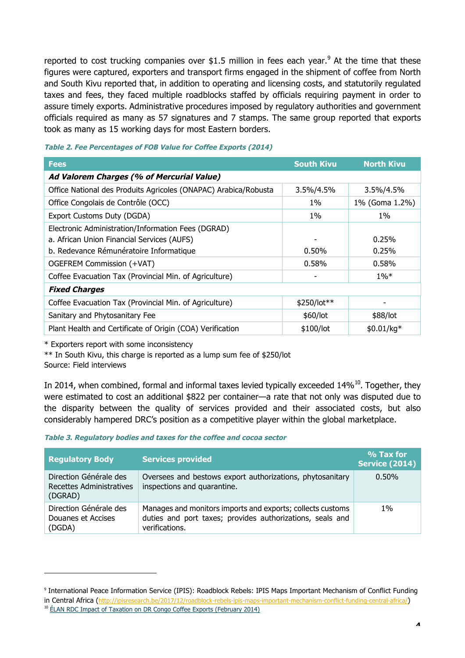reported to cost trucking companies over \$1.5 million in fees each year.<sup>9</sup> At the time that these figures were captured, exporters and transport firms engaged in the shipment of coffee from North and South Kivu reported that, in addition to operating and licensing costs, and statutorily regulated taxes and fees, they faced multiple roadblocks staffed by officials requiring payment in order to assure timely exports. Administrative procedures imposed by regulatory authorities and government officials required as many as 57 signatures and 7 stamps. The same group reported that exports took as many as 15 working days for most Eastern borders.

| <b>Fees</b>                                                     | <b>South Kivu</b> | <b>North Kivu</b> |  |
|-----------------------------------------------------------------|-------------------|-------------------|--|
| Ad Valorem Charges (% of Mercurial Value)                       |                   |                   |  |
| Office National des Produits Agricoles (ONAPAC) Arabica/Robusta | 3.5%/4.5%         | 3.5%/4.5%         |  |
| Office Congolais de Contrôle (OCC)                              | 1%                | 1% (Goma 1.2%)    |  |
| Export Customs Duty (DGDA)                                      | $1\%$             | $1\%$             |  |
| Electronic Administration/Information Fees (DGRAD)              |                   |                   |  |
| a. African Union Financial Services (AUFS)                      |                   | 0.25%             |  |
| b. Redevance Rémunératoire Informatique                         | 0.50%             | 0.25%             |  |
| OGEFREM Commission (+VAT)                                       | 0.58%             | 0.58%             |  |
| Coffee Evacuation Tax (Provincial Min. of Agriculture)          |                   | $1\%*$            |  |
| <b>Fixed Charges</b>                                            |                   |                   |  |
| Coffee Evacuation Tax (Provincial Min. of Agriculture)          | $$250/lot**$      |                   |  |
| Sanitary and Phytosanitary Fee                                  | \$60/lot          | \$88/lot          |  |
| Plant Health and Certificate of Origin (COA) Verification       | \$100/lot         | $$0.01/kg*$       |  |

#### **Table 2. Fee Percentages of FOB Value for Coffee Exports (2014)**

\* Exporters report with some inconsistency

\*\* In South Kivu, this charge is reported as a lump sum fee of \$250/lot

Source: Field interviews

In 2014, when combined, formal and informal taxes levied typically exceeded 14%<sup>10</sup>. Together, they were estimated to cost an additional \$822 per container—a rate that not only was disputed due to the disparity between the quality of services provided and their associated costs, but also considerably hampered DRC's position as a competitive player within the global marketplace.

#### **Table 3. Regulatory bodies and taxes for the coffee and cocoa sector**

| <b>Regulatory Body</b>                                        | <b>Services provided</b>                                                                                                                  | % Tax for<br><b>Service (2014)</b> |
|---------------------------------------------------------------|-------------------------------------------------------------------------------------------------------------------------------------------|------------------------------------|
| Direction Générale des<br>Recettes Administratives<br>(DGRAD) | Oversees and bestows export authorizations, phytosanitary<br>inspections and quarantine.                                                  | $0.50\%$                           |
| Direction Générale des<br>Douanes et Accises<br>(DGDA)        | Manages and monitors imports and exports; collects customs<br>duties and port taxes; provides authorizations, seals and<br>verifications. | $1\%$                              |

<sup>9</sup> International Peace Information Service (IPIS): Roadblock Rebels: IPIS Maps Important Mechanism of Conflict Funding

in Central Africa (http://ipisresearch.be/2017/12/roadblock-rebels-ipis-maps-important-mechanism-conflict-funding-central-africa/)

<sup>&</sup>lt;sup>10</sup> ÉLAN RDC Impact of Taxation on DR Congo Coffee Exports (February 2014)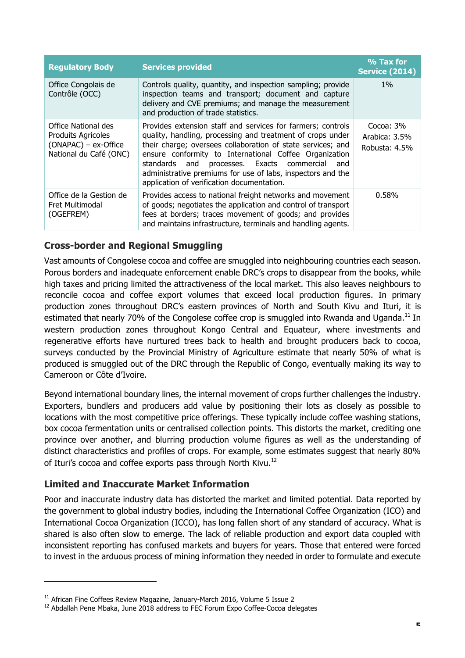| <b>Regulatory Body</b>                                                                               | <b>Services provided</b>                                                                                                                                                                                                                                                                                                                                                                                             | % Tax for<br><b>Service (2014)</b>             |
|------------------------------------------------------------------------------------------------------|----------------------------------------------------------------------------------------------------------------------------------------------------------------------------------------------------------------------------------------------------------------------------------------------------------------------------------------------------------------------------------------------------------------------|------------------------------------------------|
| Office Congolais de<br>Contrôle (OCC)                                                                | Controls quality, quantity, and inspection sampling; provide<br>inspection teams and transport; document and capture<br>delivery and CVE premiums; and manage the measurement<br>and production of trade statistics.                                                                                                                                                                                                 | $1\%$                                          |
| Office National des<br><b>Produits Agricoles</b><br>$(ONAPAC)$ – ex-Office<br>National du Café (ONC) | Provides extension staff and services for farmers; controls<br>quality, handling, processing and treatment of crops under<br>their charge; oversees collaboration of state services; and<br>ensure conformity to International Coffee Organization<br>standards and processes. Exacts commercial<br>and<br>administrative premiums for use of labs, inspectors and the<br>application of verification documentation. | Cocoa: $3\%$<br>Arabica: 3.5%<br>Robusta: 4.5% |
| Office de la Gestion de<br>Fret Multimodal<br>(OGEFREM)                                              | Provides access to national freight networks and movement<br>of goods; negotiates the application and control of transport<br>fees at borders; traces movement of goods; and provides<br>and maintains infrastructure, terminals and handling agents.                                                                                                                                                                | 0.58%                                          |

# **Cross-border and Regional Smuggling**

Vast amounts of Congolese cocoa and coffee are smuggled into neighbouring countries each season. Porous borders and inadequate enforcement enable DRC's crops to disappear from the books, while high taxes and pricing limited the attractiveness of the local market. This also leaves neighbours to reconcile cocoa and coffee export volumes that exceed local production figures. In primary production zones throughout DRC's eastern provinces of North and South Kivu and Ituri, it is estimated that nearly 70% of the Congolese coffee crop is smuggled into Rwanda and Uganda.<sup>11</sup> In western production zones throughout Kongo Central and Equateur, where investments and regenerative efforts have nurtured trees back to health and brought producers back to cocoa, surveys conducted by the Provincial Ministry of Agriculture estimate that nearly 50% of what is produced is smuggled out of the DRC through the Republic of Congo, eventually making its way to Cameroon or Côte d'Ivoire.

Beyond international boundary lines, the internal movement of crops further challenges the industry. Exporters, bundlers and producers add value by positioning their lots as closely as possible to locations with the most competitive price offerings. These typically include coffee washing stations, box cocoa fermentation units or centralised collection points. This distorts the market, crediting one province over another, and blurring production volume figures as well as the understanding of distinct characteristics and profiles of crops. For example, some estimates suggest that nearly 80% of Ituri's cocoa and coffee exports pass through North Kivu.<sup>12</sup>

## **Limited and Inaccurate Market Information**

-

Poor and inaccurate industry data has distorted the market and limited potential. Data reported by the government to global industry bodies, including the International Coffee Organization (ICO) and International Cocoa Organization (ICCO), has long fallen short of any standard of accuracy. What is shared is also often slow to emerge. The lack of reliable production and export data coupled with inconsistent reporting has confused markets and buyers for years. Those that entered were forced to invest in the arduous process of mining information they needed in order to formulate and execute

<sup>&</sup>lt;sup>11</sup> African Fine Coffees Review Magazine, January-March 2016, Volume 5 Issue 2

<sup>&</sup>lt;sup>12</sup> Abdallah Pene Mbaka, June 2018 address to FEC Forum Expo Coffee-Cocoa delegates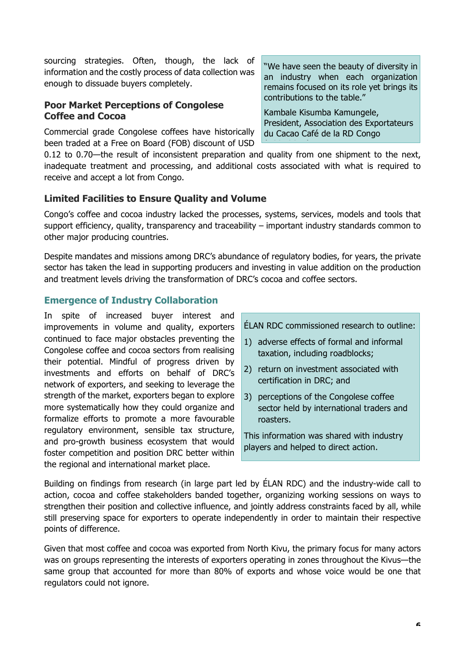sourcing strategies. Often, though, the lack of information and the costly process of data collection was enough to dissuade buyers completely.

# **Poor Market Perceptions of Congolese Coffee and Cocoa**

Commercial grade Congolese coffees have historically been traded at a Free on Board (FOB) discount of USD

0.12 to 0.70—the result of inconsistent preparation and quality from one shipment to the next, inadequate treatment and processing, and additional costs associated with what is required to receive and accept a lot from Congo.

# **Limited Facilities to Ensure Quality and Volume**

Congo's coffee and cocoa industry lacked the processes, systems, services, models and tools that support efficiency, quality, transparency and traceability – important industry standards common to other major producing countries.

Despite mandates and missions among DRC's abundance of regulatory bodies, for years, the private sector has taken the lead in supporting producers and investing in value addition on the production and treatment levels driving the transformation of DRC's cocoa and coffee sectors.

# **Emergence of Industry Collaboration**

In spite of increased buyer interest and improvements in volume and quality, exporters continued to face major obstacles preventing the Congolese coffee and cocoa sectors from realising their potential. Mindful of progress driven by investments and efforts on behalf of DRC's network of exporters, and seeking to leverage the strength of the market, exporters began to explore more systematically how they could organize and formalize efforts to promote a more favourable regulatory environment, sensible tax structure, and pro-growth business ecosystem that would foster competition and position DRC better within the regional and international market place.

ÉLAN RDC commissioned research to outline:

- 1) adverse effects of formal and informal taxation, including roadblocks;
- 2) return on investment associated with certification in DRC; and
- 3) perceptions of the Congolese coffee sector held by international traders and roasters.

This information was shared with industry players and helped to direct action.

Building on findings from research (in large part led by ÉLAN RDC) and the industry-wide call to action, cocoa and coffee stakeholders banded together, organizing working sessions on ways to strengthen their position and collective influence, and jointly address constraints faced by all, while still preserving space for exporters to operate independently in order to maintain their respective points of difference.

Given that most coffee and cocoa was exported from North Kivu, the primary focus for many actors was on groups representing the interests of exporters operating in zones throughout the Kivus—the same group that accounted for more than 80% of exports and whose voice would be one that regulators could not ignore.

"We have seen the beauty of diversity in an industry when each organization remains focused on its role yet brings its contributions to the table."

Kambale Kisumba Kamungele, President, Association des Exportateurs du Cacao Café de la RD Congo

(ASSECTED AND THE SECOND ASSECTED AND THE SECOND ASSECTED ASSECTED AND A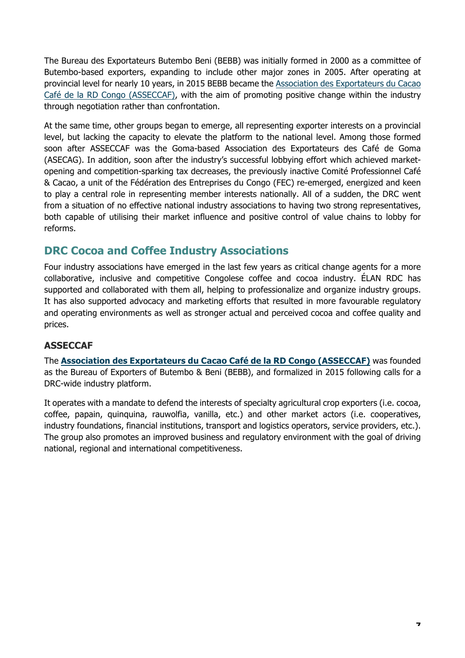The Bureau des Exportateurs Butembo Beni (BEBB) was initially formed in 2000 as a committee of Butembo-based exporters, expanding to include other major zones in 2005. After operating at provincial level for nearly 10 years, in 2015 BEBB became the Association des Exportateurs du Cacao Café de la RD Congo (ASSECCAF), with the aim of promoting positive change within the industry through negotiation rather than confrontation.

At the same time, other groups began to emerge, all representing exporter interests on a provincial level, but lacking the capacity to elevate the platform to the national level. Among those formed soon after ASSECCAF was the Goma-based Association des Exportateurs des Café de Goma (ASECAG). In addition, soon after the industry's successful lobbying effort which achieved marketopening and competition-sparking tax decreases, the previously inactive Comité Professionnel Café & Cacao, a unit of the Fédération des Entreprises du Congo (FEC) re-emerged, energized and keen to play a central role in representing member interests nationally. All of a sudden, the DRC went from a situation of no effective national industry associations to having two strong representatives, both capable of utilising their market influence and positive control of value chains to lobby for reforms.

# **DRC Cocoa and Coffee Industry Associations**

Four industry associations have emerged in the last few years as critical change agents for a more collaborative, inclusive and competitive Congolese coffee and cocoa industry. ÉLAN RDC has supported and collaborated with them all, helping to professionalize and organize industry groups. It has also supported advocacy and marketing efforts that resulted in more favourable regulatory and operating environments as well as stronger actual and perceived cocoa and coffee quality and prices.

## **ASSECCAF**

The **Association des Exportateurs du Cacao Café de la RD Congo (ASSECCAF)** was founded as the Bureau of Exporters of Butembo & Beni (BEBB), and formalized in 2015 following calls for a DRC-wide industry platform.

It operates with a mandate to defend the interests of specialty agricultural crop exporters (i.e. cocoa, coffee, papain, quinquina, rauwolfia, vanilla, etc.) and other market actors (i.e. cooperatives, industry foundations, financial institutions, transport and logistics operators, service providers, etc.). The group also promotes an improved business and regulatory environment with the goal of driving national, regional and international competitiveness.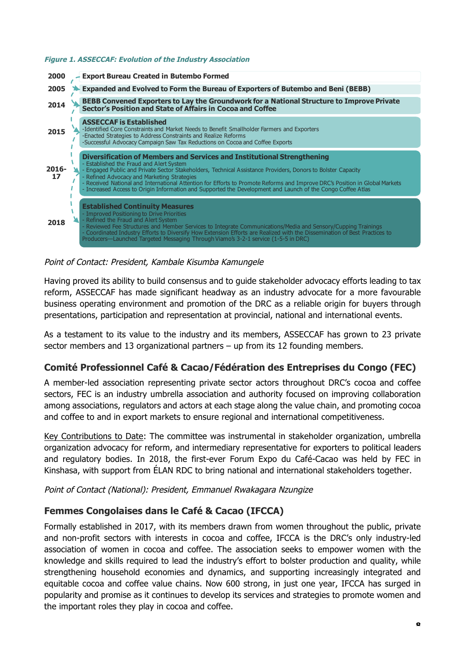#### **Figure 1. ASSECCAF: Evolution of the Industry Association**



#### Point of Contact: President, Kambale Kisumba Kamungele

Having proved its ability to build consensus and to guide stakeholder advocacy efforts leading to tax reform, ASSECCAF has made significant headway as an industry advocate for a more favourable business operating environment and promotion of the DRC as a reliable origin for buyers through presentations, participation and representation at provincial, national and international events.

As a testament to its value to the industry and its members, ASSECCAF has grown to 23 private sector members and 13 organizational partners – up from its 12 founding members.

#### **Comité Professionnel Café & Cacao/Fédération des Entreprises du Congo (FEC)**

A member-led association representing private sector actors throughout DRC's cocoa and coffee sectors, FEC is an industry umbrella association and authority focused on improving collaboration among associations, regulators and actors at each stage along the value chain, and promoting cocoa and coffee to and in export markets to ensure regional and international competitiveness.

Key Contributions to Date: The committee was instrumental in stakeholder organization, umbrella organization advocacy for reform, and intermediary representative for exporters to political leaders and regulatory bodies. In 2018, the first-ever Forum Expo du Café-Cacao was held by FEC in Kinshasa, with support from ÉLAN RDC to bring national and international stakeholders together.

Point of Contact (National): President, Emmanuel Rwakagara Nzungize

## **Femmes Congolaises dans le Café & Cacao (IFCCA)**

Formally established in 2017, with its members drawn from women throughout the public, private and non-profit sectors with interests in cocoa and coffee, IFCCA is the DRC's only industry-led association of women in cocoa and coffee. The association seeks to empower women with the knowledge and skills required to lead the industry's effort to bolster production and quality, while strengthening household economies and dynamics, and supporting increasingly integrated and equitable cocoa and coffee value chains. Now 600 strong, in just one year, IFCCA has surged in popularity and promise as it continues to develop its services and strategies to promote women and the important roles they play in cocoa and coffee.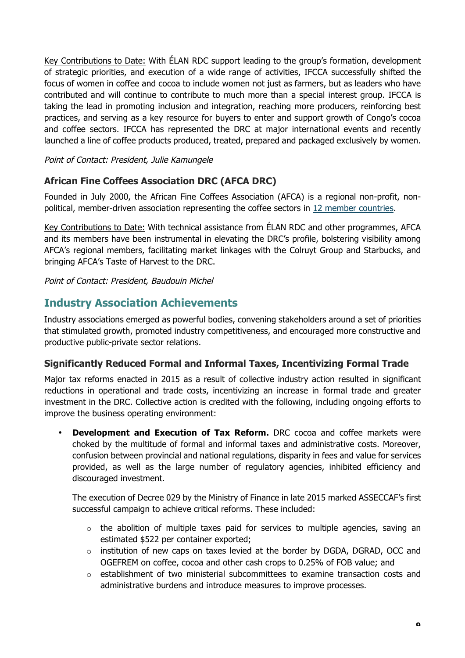Key Contributions to Date: With ÉLAN RDC support leading to the group's formation, development of strategic priorities, and execution of a wide range of activities, IFCCA successfully shifted the focus of women in coffee and cocoa to include women not just as farmers, but as leaders who have contributed and will continue to contribute to much more than a special interest group. IFCCA is taking the lead in promoting inclusion and integration, reaching more producers, reinforcing best practices, and serving as a key resource for buyers to enter and support growth of Congo's cocoa and coffee sectors. IFCCA has represented the DRC at major international events and recently launched a line of coffee products produced, treated, prepared and packaged exclusively by women.

Point of Contact: President, Julie Kamungele

# **African Fine Coffees Association DRC (AFCA DRC)**

Founded in July 2000, the African Fine Coffees Association (AFCA) is a regional non-profit, nonpolitical, member-driven association representing the coffee sectors in 12 member countries.

Key Contributions to Date: With technical assistance from ÉLAN RDC and other programmes, AFCA and its members have been instrumental in elevating the DRC's profile, bolstering visibility among AFCA's regional members, facilitating market linkages with the Colruyt Group and Starbucks, and bringing AFCA's Taste of Harvest to the DRC.

Point of Contact: President, Baudouin Michel

# **Industry Association Achievements**

Industry associations emerged as powerful bodies, convening stakeholders around a set of priorities that stimulated growth, promoted industry competitiveness, and encouraged more constructive and productive public-private sector relations.

## **Significantly Reduced Formal and Informal Taxes, Incentivizing Formal Trade**

Major tax reforms enacted in 2015 as a result of collective industry action resulted in significant reductions in operational and trade costs, incentivizing an increase in formal trade and greater investment in the DRC. Collective action is credited with the following, including ongoing efforts to improve the business operating environment:

• **Development and Execution of Tax Reform.** DRC cocoa and coffee markets were choked by the multitude of formal and informal taxes and administrative costs. Moreover, confusion between provincial and national regulations, disparity in fees and value for services provided, as well as the large number of regulatory agencies, inhibited efficiency and discouraged investment.

The execution of Decree 029 by the Ministry of Finance in late 2015 marked ASSECCAF's first successful campaign to achieve critical reforms. These included:

- $\circ$  the abolition of multiple taxes paid for services to multiple agencies, saving an estimated \$522 per container exported;
- o institution of new caps on taxes levied at the border by DGDA, DGRAD, OCC and OGEFREM on coffee, cocoa and other cash crops to 0.25% of FOB value; and
- $\circ$  establishment of two ministerial subcommittees to examine transaction costs and administrative burdens and introduce measures to improve processes.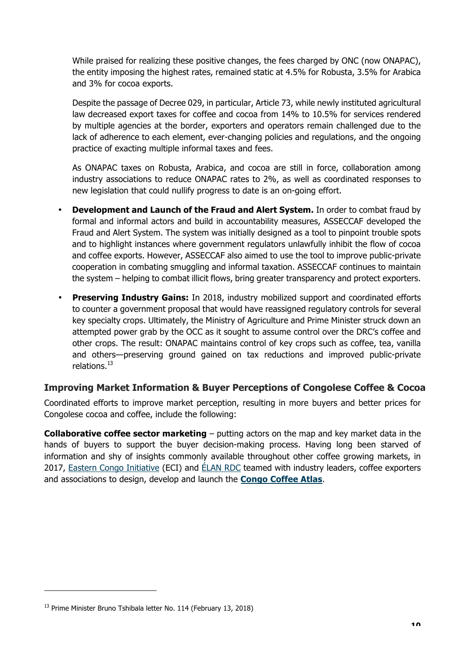While praised for realizing these positive changes, the fees charged by ONC (now ONAPAC), the entity imposing the highest rates, remained static at 4.5% for Robusta, 3.5% for Arabica and 3% for cocoa exports.

Despite the passage of Decree 029, in particular, Article 73, while newly instituted agricultural law decreased export taxes for coffee and cocoa from 14% to 10.5% for services rendered by multiple agencies at the border, exporters and operators remain challenged due to the lack of adherence to each element, ever-changing policies and regulations, and the ongoing practice of exacting multiple informal taxes and fees.

As ONAPAC taxes on Robusta, Arabica, and cocoa are still in force, collaboration among industry associations to reduce ONAPAC rates to 2%, as well as coordinated responses to new legislation that could nullify progress to date is an on-going effort.

- **Development and Launch of the Fraud and Alert System.** In order to combat fraud by formal and informal actors and build in accountability measures, ASSECCAF developed the Fraud and Alert System. The system was initially designed as a tool to pinpoint trouble spots and to highlight instances where government regulators unlawfully inhibit the flow of cocoa and coffee exports. However, ASSECCAF also aimed to use the tool to improve public-private cooperation in combating smuggling and informal taxation. ASSECCAF continues to maintain the system – helping to combat illicit flows, bring greater transparency and protect exporters.
- **Preserving Industry Gains:** In 2018, industry mobilized support and coordinated efforts to counter a government proposal that would have reassigned regulatory controls for several key specialty crops. Ultimately, the Ministry of Agriculture and Prime Minister struck down an attempted power grab by the OCC as it sought to assume control over the DRC's coffee and other crops. The result: ONAPAC maintains control of key crops such as coffee, tea, vanilla and others—preserving ground gained on tax reductions and improved public-private relations.<sup>13</sup>

## **Improving Market Information & Buyer Perceptions of Congolese Coffee & Cocoa**

Coordinated efforts to improve market perception, resulting in more buyers and better prices for Congolese cocoa and coffee, include the following:

**Collaborative coffee sector marketing** – putting actors on the map and key market data in the hands of buyers to support the buyer decision-making process. Having long been starved of information and shy of insights commonly available throughout other coffee growing markets, in 2017, Eastern Congo Initiative (ECI) and ÉLAN RDC teamed with industry leaders, coffee exporters and associations to design, develop and launch the **Congo Coffee Atlas**.

<sup>&</sup>lt;sup>13</sup> Prime Minister Bruno Tshibala letter No. 114 (February 13, 2018)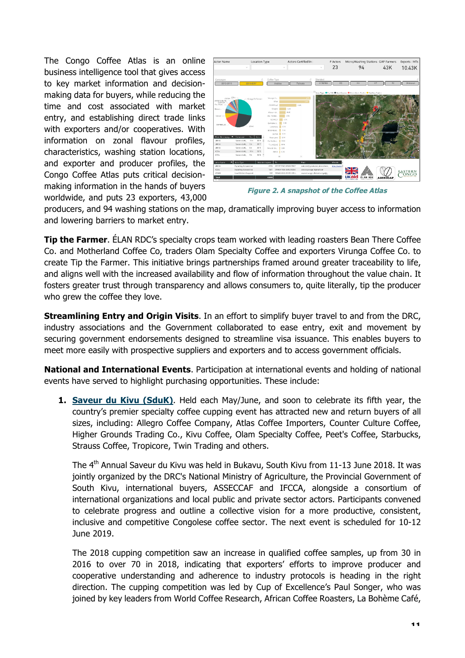The Congo Coffee Atlas is an online business intelligence tool that gives access to key market information and decisionmaking data for buyers, while reducing the time and cost associated with market entry, and establishing direct trade links with exporters and/or cooperatives. With information on zonal flavour profiles, characteristics, washing station locations, and exporter and producer profiles, the Congo Coffee Atlas puts critical decisionmaking information in the hands of buyers worldwide, and puts 23 exporters, 43,000



**Figure 2. A snapshot of the Coffee Atlas**

producers, and 94 washing stations on the map, dramatically improving buyer access to information and lowering barriers to market entry.

**Tip the Farmer**. ÉLAN RDC's specialty crops team worked with leading roasters Bean There Coffee Co. and Motherland Coffee Co, traders Olam Specialty Coffee and exporters Virunga Coffee Co. to create Tip the Farmer. This initiative brings partnerships framed around greater traceability to life, and aligns well with the increased availability and flow of information throughout the value chain. It fosters greater trust through transparency and allows consumers to, quite literally, tip the producer who grew the coffee they love.

**Streamlining Entry and Origin Visits**. In an effort to simplify buyer travel to and from the DRC, industry associations and the Government collaborated to ease entry, exit and movement by securing government endorsements designed to streamline visa issuance. This enables buyers to meet more easily with prospective suppliers and exporters and to access government officials.

**National and International Events**. Participation at international events and holding of national events have served to highlight purchasing opportunities. These include:

**1. Saveur du Kivu (SduK)**. Held each May/June, and soon to celebrate its fifth year, the country's premier specialty coffee cupping event has attracted new and return buyers of all sizes, including: Allegro Coffee Company, Atlas Coffee Importers, Counter Culture Coffee, Higher Grounds Trading Co., Kivu Coffee, Olam Specialty Coffee, Peet's Coffee, Starbucks, Strauss Coffee, Tropicore, Twin Trading and others.

The 4<sup>th</sup> Annual Saveur du Kivu was held in Bukavu, South Kivu from 11-13 June 2018. It was jointly organized by the DRC's National Ministry of Agriculture, the Provincial Government of South Kivu, international buyers, ASSECCAF and IFCCA, alongside a consortium of international organizations and local public and private sector actors. Participants convened to celebrate progress and outline a collective vision for a more productive, consistent, inclusive and competitive Congolese coffee sector. The next event is scheduled for 10-12 June 2019.

The 2018 cupping competition saw an increase in qualified coffee samples, up from 30 in 2016 to over 70 in 2018, indicating that exporters' efforts to improve producer and cooperative understanding and adherence to industry protocols is heading in the right direction. The cupping competition was led by Cup of Excellence's Paul Songer, who was joined by key leaders from World Coffee Research, African Coffee Roasters, La Bohème Café,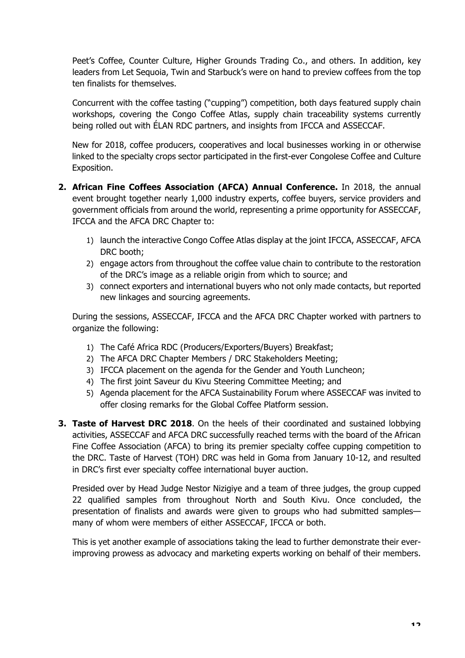Peet's Coffee, Counter Culture, Higher Grounds Trading Co., and others. In addition, key leaders from Let Sequoia, Twin and Starbuck's were on hand to preview coffees from the top ten finalists for themselves.

Concurrent with the coffee tasting ("cupping") competition, both days featured supply chain workshops, covering the Congo Coffee Atlas, supply chain traceability systems currently being rolled out with ÉLAN RDC partners, and insights from IFCCA and ASSECCAF.

New for 2018, coffee producers, cooperatives and local businesses working in or otherwise linked to the specialty crops sector participated in the first-ever Congolese Coffee and Culture Exposition.

- **2. African Fine Coffees Association (AFCA) Annual Conference.** In 2018, the annual event brought together nearly 1,000 industry experts, coffee buyers, service providers and government officials from around the world, representing a prime opportunity for ASSECCAF, IFCCA and the AFCA DRC Chapter to:
	- 1) launch the interactive Congo Coffee Atlas display at the joint IFCCA, ASSECCAF, AFCA DRC booth;
	- 2) engage actors from throughout the coffee value chain to contribute to the restoration of the DRC's image as a reliable origin from which to source; and
	- 3) connect exporters and international buyers who not only made contacts, but reported new linkages and sourcing agreements.

During the sessions, ASSECCAF, IFCCA and the AFCA DRC Chapter worked with partners to organize the following:

- 1) The Café Africa RDC (Producers/Exporters/Buyers) Breakfast;
- 2) The AFCA DRC Chapter Members / DRC Stakeholders Meeting;
- 3) IFCCA placement on the agenda for the Gender and Youth Luncheon;
- 4) The first joint Saveur du Kivu Steering Committee Meeting; and
- 5) Agenda placement for the AFCA Sustainability Forum where ASSECCAF was invited to offer closing remarks for the Global Coffee Platform session.
- **3. Taste of Harvest DRC 2018**. On the heels of their coordinated and sustained lobbying activities, ASSECCAF and AFCA DRC successfully reached terms with the board of the African Fine Coffee Association (AFCA) to bring its premier specialty coffee cupping competition to the DRC. Taste of Harvest (TOH) DRC was held in Goma from January 10-12, and resulted in DRC's first ever specialty coffee international buyer auction.

Presided over by Head Judge Nestor Nizigiye and a team of three judges, the group cupped 22 qualified samples from throughout North and South Kivu. Once concluded, the presentation of finalists and awards were given to groups who had submitted samples many of whom were members of either ASSECCAF, IFCCA or both.

This is yet another example of associations taking the lead to further demonstrate their everimproving prowess as advocacy and marketing experts working on behalf of their members.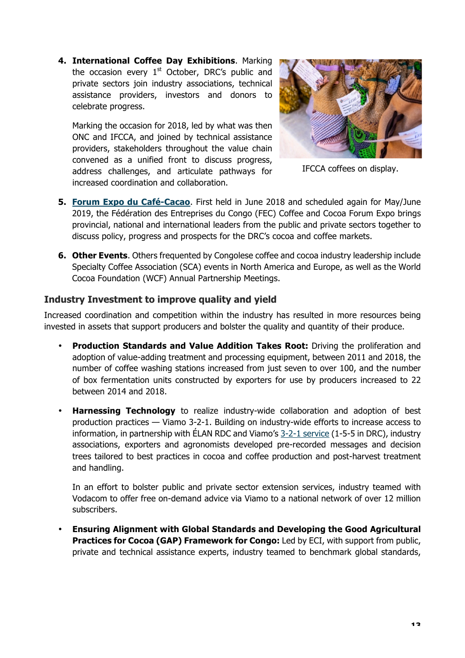**4. International Coffee Day Exhibitions**. Marking the occasion every  $1<sup>st</sup>$  October, DRC's public and private sectors join industry associations, technical assistance providers, investors and donors to celebrate progress.

Marking the occasion for 2018, led by what was then ONC and IFCCA, and joined by technical assistance providers, stakeholders throughout the value chain convened as a unified front to discuss progress, address challenges, and articulate pathways for increased coordination and collaboration.



IFCCA coffees on display.

- **5. Forum Expo du Café-Cacao**. First held in June 2018 and scheduled again for May/June 2019, the Fédération des Entreprises du Congo (FEC) Coffee and Cocoa Forum Expo brings provincial, national and international leaders from the public and private sectors together to discuss policy, progress and prospects for the DRC's cocoa and coffee markets.
- **6. Other Events**. Others frequented by Congolese coffee and cocoa industry leadership include Specialty Coffee Association (SCA) events in North America and Europe, as well as the World Cocoa Foundation (WCF) Annual Partnership Meetings.

#### **Industry Investment to improve quality and yield**

Increased coordination and competition within the industry has resulted in more resources being invested in assets that support producers and bolster the quality and quantity of their produce.

- **Production Standards and Value Addition Takes Root:** Driving the proliferation and adoption of value-adding treatment and processing equipment, between 2011 and 2018, the number of coffee washing stations increased from just seven to over 100, and the number of box fermentation units constructed by exporters for use by producers increased to 22 between 2014 and 2018.
- **Harnessing Technology** to realize industry-wide collaboration and adoption of best production practices — Viamo 3-2-1. Building on industry-wide efforts to increase access to information, in partnership with ÉLAN RDC and Viamo's 3-2-1 service (1-5-5 in DRC), industry associations, exporters and agronomists developed pre-recorded messages and decision trees tailored to best practices in cocoa and coffee production and post-harvest treatment and handling.

In an effort to bolster public and private sector extension services, industry teamed with Vodacom to offer free on-demand advice via Viamo to a national network of over 12 million subscribers.

• **Ensuring Alignment with Global Standards and Developing the Good Agricultural Practices for Cocoa (GAP) Framework for Congo:** Led by ECI, with support from public, private and technical assistance experts, industry teamed to benchmark global standards,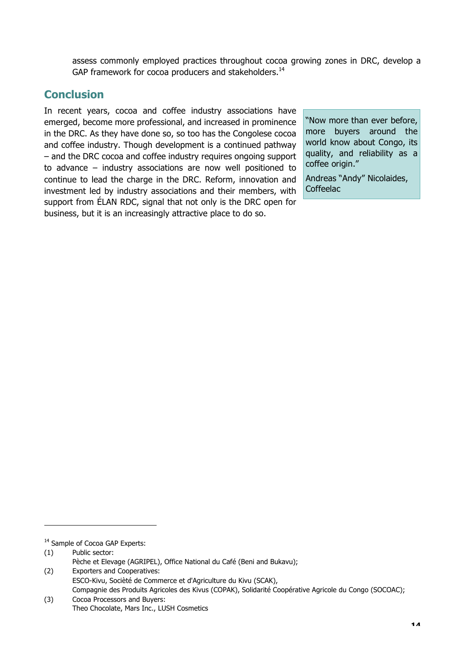assess commonly employed practices throughout cocoa growing zones in DRC, develop a GAP framework for cocoa producers and stakeholders.<sup>14</sup>

# **Conclusion**

In recent years, cocoa and coffee industry associations have emerged, become more professional, and increased in prominence in the DRC. As they have done so, so too has the Congolese cocoa and coffee industry. Though development is a continued pathway – and the DRC cocoa and coffee industry requires ongoing support to advance – industry associations are now well positioned to continue to lead the charge in the DRC. Reform, innovation and investment led by industry associations and their members, with support from ÉLAN RDC, signal that not only is the DRC open for business, but it is an increasingly attractive place to do so.

"Now more than ever before, more buyers around the world know about Congo, its quality, and reliability as a coffee origin."

Andreas "Andy" Nicolaides, Coffeelac

<sup>&</sup>lt;sup>14</sup> Sample of Cocoa GAP Experts:

<sup>(1)</sup> Public sector:

Pèche et Elevage (AGRIPEL), Office National du Café (Beni and Bukavu);

<sup>(2)</sup> Exporters and Cooperatives: ESCO-Kivu, Socièté de Commerce et d'Agriculture du Kivu (SCAK), Compagnie des Produits Agricoles des Kivus (COPAK), Solidarité Coopérative Agricole du Congo (SOCOAC);

<sup>(3)</sup> Cocoa Processors and Buyers: Theo Chocolate, Mars Inc., LUSH Cosmetics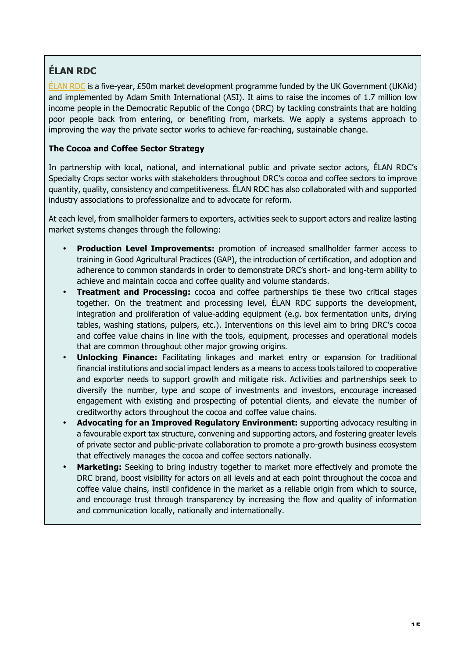# **ÉLAN RDC**

 $E$ LAN RDC is a five-year, £50m market development programme funded by the UK Government (UKAid) and implemented by Adam Smith International (ASI). It aims to raise the incomes of 1.7 million low income people in the Democratic Republic of the Congo (DRC) by tackling constraints that are holding poor people back from entering, or benefiting from, markets. We apply a systems approach to improving the way the private sector works to achieve far-reaching, sustainable change.

#### **The Cocoa and Coffee Sector Strategy**

In partnership with local, national, and international public and private sector actors, ÉLAN RDC's Specialty Crops sector works with stakeholders throughout DRC's cocoa and coffee sectors to improve quantity, quality, consistency and competitiveness. ÉLAN RDC has also collaborated with and supported industry associations to professionalize and to advocate for reform.

At each level, from smallholder farmers to exporters, activities seek to support actors and realize lasting market systems changes through the following:

- **Production Level Improvements:** promotion of increased smallholder farmer access to training in Good Agricultural Practices (GAP), the introduction of certification, and adoption and adherence to common standards in order to demonstrate DRC's short- and long-term ability to achieve and maintain cocoa and coffee quality and volume standards.
- **Treatment and Processing:** cocoa and coffee partnerships tie these two critical stages together. On the treatment and processing level, ÉLAN RDC supports the development, integration and proliferation of value-adding equipment (e.g. box fermentation units, drying tables, washing stations, pulpers, etc.). Interventions on this level aim to bring DRC's cocoa and coffee value chains in line with the tools, equipment, processes and operational models that are common throughout other major growing origins.
- **Unlocking Finance:** Facilitating linkages and market entry or expansion for traditional financial institutions and social impact lenders as a means to access tools tailored to cooperative and exporter needs to support growth and mitigate risk. Activities and partnerships seek to diversify the number, type and scope of investments and investors, encourage increased engagement with existing and prospecting of potential clients, and elevate the number of creditworthy actors throughout the cocoa and coffee value chains.
- **Advocating for an Improved Regulatory Environment:** supporting advocacy resulting in a favourable export tax structure, convening and supporting actors, and fostering greater levels of private sector and public-private collaboration to promote a pro-growth business ecosystem that effectively manages the cocoa and coffee sectors nationally.
- **Marketing:** Seeking to bring industry together to market more effectively and promote the DRC brand, boost visibility for actors on all levels and at each point throughout the cocoa and coffee value chains, instil confidence in the market as a reliable origin from which to source, and encourage trust through transparency by increasing the flow and quality of information and communication locally, nationally and internationally.